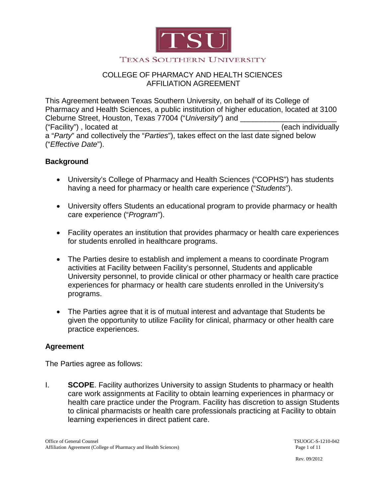

#### **TEXAS SOUTHERN UNIVERSITY**

## COLLEGE OF PHARMACY AND HEALTH SCIENCES AFFILIATION AGREEMENT

This Agreement between Texas Southern University, on behalf of its College of Pharmacy and Health Sciences, a public institution of higher education, located at 3100 Cleburne Street, Houston, Texas 77004 ("University") and ("Facility") , located at \_\_\_\_\_\_\_\_\_\_\_\_\_\_\_\_\_\_\_\_\_\_\_\_\_\_\_\_\_\_\_\_\_\_\_\_\_\_ (each individually a "*Party*" and collectively the "*Parties*"), takes effect on the last date signed below ("*Effective Date*").

## **Background**

- University's College of Pharmacy and Health Sciences ("COPHS") has students having a need for pharmacy or health care experience ("*Students*").
- University offers Students an educational program to provide pharmacy or health care experience ("*Program*").
- Facility operates an institution that provides pharmacy or health care experiences for students enrolled in healthcare programs.
- The Parties desire to establish and implement a means to coordinate Program activities at Facility between Facility's personnel, Students and applicable University personnel, to provide clinical or other pharmacy or health care practice experiences for pharmacy or health care students enrolled in the University's programs.
- The Parties agree that it is of mutual interest and advantage that Students be given the opportunity to utilize Facility for clinical, pharmacy or other health care practice experiences.

## **Agreement**

The Parties agree as follows:

I. **SCOPE**. Facility authorizes University to assign Students to pharmacy or health care work assignments at Facility to obtain learning experiences in pharmacy or health care practice under the Program. Facility has discretion to assign Students to clinical pharmacists or health care professionals practicing at Facility to obtain learning experiences in direct patient care.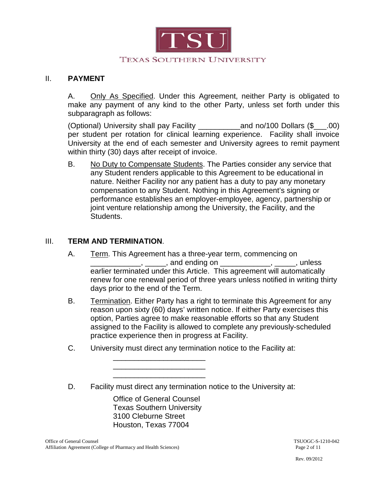

### II. **PAYMENT**

A. Only As Specified. Under this Agreement, neither Party is obligated to make any payment of any kind to the other Party, unless set forth under this subparagraph as follows:

(Optional) University shall pay Facility \_\_\_\_\_\_\_\_\_\_and no/100 Dollars (\$\_\_\_.00) per student per rotation for clinical learning experience. Facility shall invoice University at the end of each semester and University agrees to remit payment within thirty (30) days after receipt of invoice.

B. No Duty to Compensate Students. The Parties consider any service that any Student renders applicable to this Agreement to be educational in nature. Neither Facility nor any patient has a duty to pay any monetary compensation to any Student. Nothing in this Agreement's signing or performance establishes an employer-employee, agency, partnership or joint venture relationship among the University, the Facility, and the Students.

## III. **TERM AND TERMINATION**.

- A. Term. This Agreement has a three-year term, commencing on \_\_\_\_\_\_\_\_\_\_\_\_, \_\_\_\_\_, and ending on \_\_\_\_\_\_\_\_\_\_\_\_, \_\_\_\_\_, unless earlier terminated under this Article. This agreement will automatically renew for one renewal period of three years unless notified in writing thirty days prior to the end of the Term.
- B. Termination . Either Party has a right to terminate this Agreement for any reason upon sixty (60) days' written notice. If either Party exercises this option, Parties agree to make reasonable efforts so that any Student assigned to the Facility is allowed to complete any previously-scheduled practice experience then in progress at Facility.
- C. University must direct any termination notice to the Facility at:

D. Facility must direct any termination notice to the University at:

Office of General Counsel Texas Southern University 3100 Cleburne Street Houston, Texas 77004

\_\_\_\_\_\_\_\_\_\_\_\_\_\_\_\_\_\_\_\_\_\_ \_\_\_\_\_\_\_\_\_\_\_\_\_\_\_\_\_\_\_\_\_\_ \_\_\_\_\_\_\_\_\_\_\_\_\_\_\_\_\_\_\_\_\_\_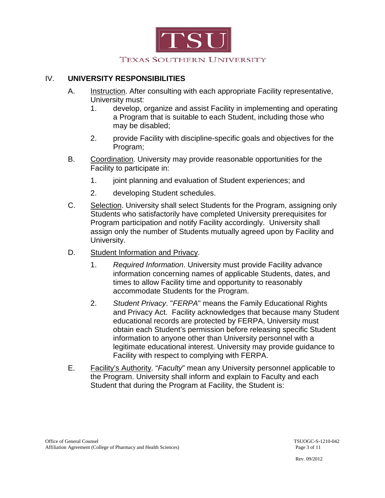

## IV. **UNIVERSITY RESPONSIBILITIES**

- A. Instruction. After consulting with each appropriate Facility representative, University must:
	- 1. develop, organize and assist Facility in implementing and operating a Program that is suitable to each Student, including those who may be disabled;
	- 2. provide Facility with discipline-specific goals and objectives for the Program;
- B. Coordination. University may provide reasonable opportunities for the Facility to participate in:
	- 1. joint planning and evaluation of Student experiences; and
	- 2. developing Student schedules.
- C. Selection. University shall select Students for the Program, assigning only Students who satisfactorily have completed University prerequisites for Program participation and notify Facility accordingly. University shall assign only the number of Students mutually agreed upon by Facility and University.
- D. Student Information and Privacy.
	- 1. *Required Information*. University must provide Facility advance information concerning names of applicable Students, dates, and times to allow Facility time and opportunity to reasonably accommodate Students for the Program.
	- 2. *Student Privacy*. "*FERPA*" means the Family Educational Rights and Privacy Act. Facility acknowledges that because many Student educational records are protected by FERPA, University must obtain each Student's permission before releasing specific Student information to anyone other than University personnel with a legitimate educational interest. University may provide guidance to Facility with respect to complying with FERPA.
- E. Facility's Authority. "*Faculty*" mean any University personnel applicable to the Program. University shall inform and explain to Faculty and each Student that during the Program at Facility, the Student is: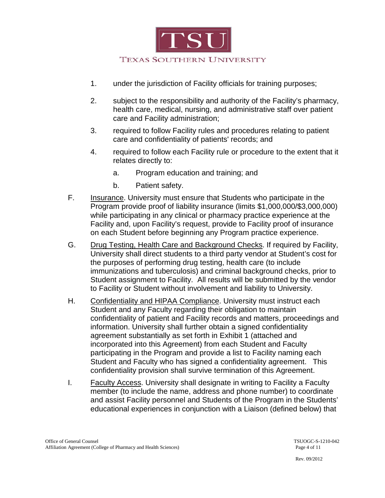

- 1. under the jurisdiction of Facility officials for training purposes;
- 2. subject to the responsibility and authority of the Facility's pharmacy, health care, medical, nursing, and administrative staff over patient care and Facility administration;
- 3. required to follow Facility rules and procedures relating to patient care and confidentiality of patients' records; and
- 4. required to follow each Facility rule or procedure to the extent that it relates directly to:
	- a. Program education and training; and
	- b. Patient safety.
- F. Insurance. University must ensure that Students who participate in the Program provide proof of liability insurance (limits \$1,000,000/\$3,000,000) while participating in any clinical or pharmacy practice experience at the Facility and, upon Facility's request, provide to Facility proof of insurance on each Student before beginning any Program practice experience.
- G. Drug Testing, Health Care and Background Checks . If required by Facility, University shall direct students to a third party vendor at Student's cost for the purposes of performing drug testing, health care (to include immunizations and tuberculosis) and criminal background checks, prior to Student assignment to Facility. All results will be submitted by the vendor to Facility or Student without involvement and liability to University.
- H. Confidentiality and HIPAA Compliance . University must instruct each Student and any Faculty regarding their obligation to maintain confidentiality of patient and Facility records and matters, proceedings and information. University shall further obtain a signed confidentiality agreement substantially as set forth in Exhibit 1 (attached and incorporated into this Agreement) from each Student and Faculty participating in the Program and provide a list to Facility naming each Student and Faculty who has signed a confidentiality agreement. This confidentiality provision shall survive termination of this Agreement.
- I. Faculty Access. University shall designate in writing to Facility a Faculty member (to include the name, address and phone number) to coordinate and assist Facility personnel and Students of the Program in the Students' educational experiences in conjunction with a Liaison (defined below) that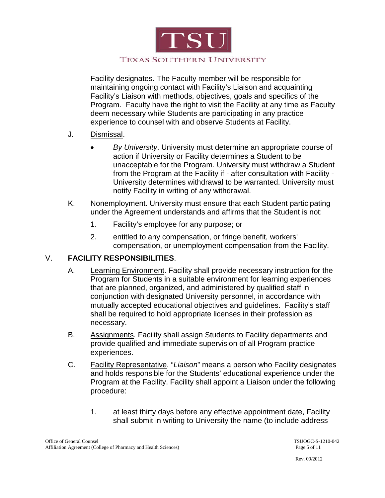

Facility designates. The Faculty member will be responsible for maintaining ongoing contact with Facility's Liaison and acquainting Facility's Liaison with methods, objectives, goals and specifics of the Program. Faculty have the right to visit the Facility at any time as Faculty deem necessary while Students are participating in any practice experience to counsel with and observe Students at Facility.

- J. <u>Dismissal</u>.
	- *By University*. University must determine an appropriate course of action if University or Facility determines a Student to be unacceptable for the Program. University must withdraw a Student from the Program at the Facility if - after consultation with Facility - University determines withdrawal to be warranted. University must notify Facility in writing of any withdrawal.
- K. Nonemployment . University must ensure that each Student participating under the Agreement understands and affirms that the Student is not:
	- 1. Facility's employee for any purpose; or
	- 2. entitled to any compensation, or fringe benefit, workers' compensation, or unemployment compensation from the Facility.

# V. **FACILITY RESPONSIBILITIES**.

- A. Learning Environment. Facility shall provide necessary instruction for the Program for Students in a suitable environment for learning experiences that are planned, organized, and administered by qualified staff in conjunction with designated University personnel, in accordance with mutually accepted educational objectives and guidelines. Facility's staff shall be required to hold appropriate licenses in their profession as necessary.
- B. Assignments. Facility shall assign Students to Facility departments and provide qualified and immediate supervision of all Program practice experiences.
- C. Facility Representative. "*Liaison*" means a person who Facility designates and holds responsible for the Students' educational experience under the Program at the Facility. Facility shall appoint a Liaison under the following procedure:
	- 1. at least thirty days before any effective appointment date, Facility shall submit in writing to University the name (to include address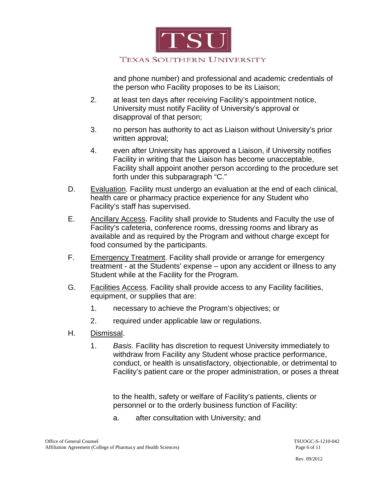

### TEXAS SOUTHERN UNIVERSITY

 and phone number) and professional and academic credentials of the person who Facility proposes to be its Liaison;

- 2. at least ten days after receiving Facility's appointment notice, University must notify Facility of University's approval or disapproval of that person;
- 3. no person has authority to act as Liaison without University's prior written approval;
- 4. even after University has approved a Liaison, if University notifies Facility in writing that the Liaison has become unacceptable, Facility shall appoint another person according to the procedure set forth under this subparagraph "C."
- D. Evaluation. Facility must undergo an evaluation at the end of each clinical, health care or pharmacy practice experience for any Student who Facility's staff has supervised.
- E. Ancillary Access. Facility shall provide to Students and Faculty the use of Facility's cafeteria, conference rooms, dressing rooms and library as available and as required by the Program and without charge except for food consumed by the participants.
- F. Emergency Treatment. Facility shall provide or arrange for emergency treatment - at the Students' expense – upon any accident or illness to any Student while at the Facility for the Program.
- G. Facilities Access. Facility shall provide access to any Facility facilities, equipment, or supplies that are:
	- 1. necessary to achieve the Program's objectives; or
	- 2. required under applicable law or regulations.
- H. <u>Dismissal</u>.
	- 1. *Basis*. Facility has discretion to request University immediately to withdraw from Facility any Student whose practice performance, conduct, or health is unsatisfactory, objectionable, or detrimental to Facility's patient care or the proper administration, or poses a threat

to the health, safety or welfare of Facility's patients, clients or personnel or to the orderly business function of Facility:

a. after consultation with University; and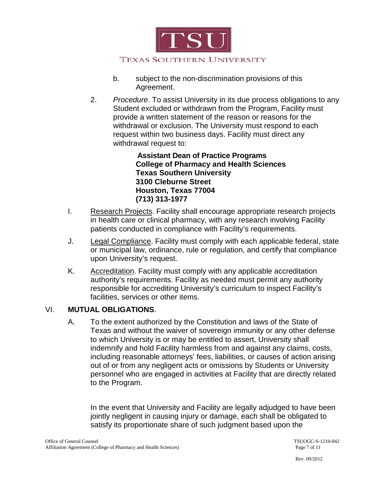

- b. subject to the non-discrimination provisions of this Agreement.
- 2. *Procedure*. To assist University in its due process obligations to any Student excluded or withdrawn from the Program, Facility must provide a written statement of the reason or reasons for the withdrawal or exclusion. The University must respond to each request within two business days. Facility must direct any withdrawal request to:

 **Assistant Dean of Practice Programs College of Pharmacy and Health Sciences Texas Southern University 3100 Cleburne Street Houston, Texas 77004 (713) 313-1977**

- I. Research Projects. Facility shall encourage appropriate research projects in health care or clinical pharmacy, with any research involving Facility patients conducted in compliance with Facility's requirements.
- J. Legal Compliance. Facility must comply with each applicable federal, state or municipal law, ordinance, rule or regulation, and certify that compliance upon University's request.
- K. Accreditation. Facility must comply with any applicable accreditation authority's requirements. Facility as needed must permit any authority responsible for accrediting University's curriculum to inspect Facility's facilities, services or other items.

# VI. **MUTUAL OBLIGATIONS**.

A. To the extent authorized by the Constitution and laws of the State of Texas and without the waiver of sovereign immunity or any other defense to which University is or may be entitled to assert, University shall indemnify and hold Facility harmless from and against any claims, costs, including reasonable attorneys' fees, liabilities, or causes of action arising out of or from any negligent acts or omissions by Students or University personnel who are engaged in activities at Facility that are directly related to the Program.

In the event that University and Facility are legally adjudged to have been jointly negligent in causing injury or damage, each shall be obligated to satisfy its proportionate share of such judgment based upon the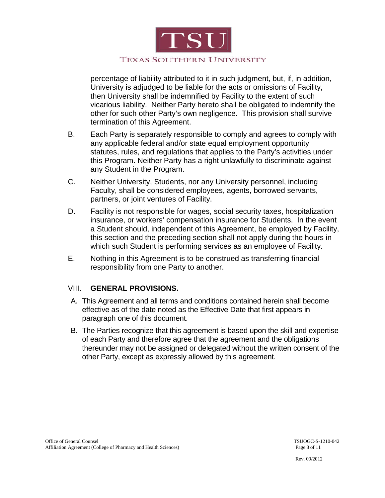

percentage of liability attributed to it in such judgment, but, if, in addition, University is adjudged to be liable for the acts or omissions of Facility, then University shall be indemnified by Facility to the extent of such vicarious liability. Neither Party hereto shall be obligated to indemnify the other for such other Party's own negligence. This provision shall survive termination of this Agreement.

- B. Each Party is separately responsible to comply and agrees to comply with any applicable federal and/or state equal employment opportunity statutes, rules, and regulations that applies to the Party's activities under this Program. Neither Party has a right unlawfully to discriminate against any Student in the Program.
- C. Neither University, Students, nor any University personnel, including Faculty, shall be considered employees, agents, borrowed servants, partners, or joint ventures of Facility.
- D. Facility is not responsible for wages, social security taxes, hospitalization insurance, or workers' compensation insurance for Students. In the event a Student should, independent of this Agreement, be employed by Facility, this section and the preceding section shall not apply during the hours in which such Student is performing services as an employee of Facility.
- E. Nothing in this Agreement is to be construed as transferring financial responsibility from one Party to another.

## VIII. **GENERAL PROVISIONS.**

- A. This Agreement and all terms and conditions contained herein shall become effective as of the date noted as the Effective Date that first appears in paragraph one of this document.
- B. The Parties recognize that this agreement is based upon the skill and expertise of each Party and therefore agree that the agreement and the obligations thereunder may not be assigned or delegated without the written consent of the other Party, except as expressly allowed by this agreement.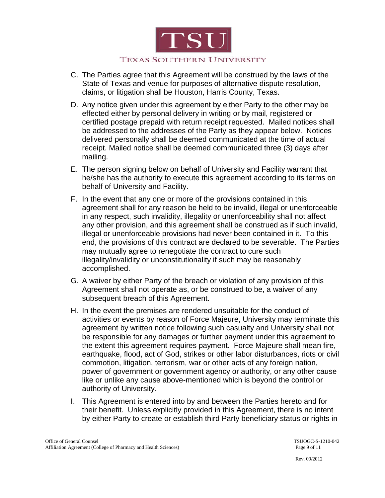

#### TEXAS SOUTHERN UNIVERSITY

- C. The Parties agree that this Agreement will be construed by the laws of the State of Texas and venue for purposes of alternative dispute resolution, claims, or litigation shall be Houston, Harris County, Texas.
- D. Any notice given under this agreement by either Party to the other may be effected either by personal delivery in writing or by mail, registered or certified postage prepaid with return receipt requested. Mailed notices shall be addressed to the addresses of the Party as they appear below. Notices delivered personally shall be deemed communicated at the time of actual receipt. Mailed notice shall be deemed communicated three (3) days after mailing.
- E. The person signing below on behalf of University and Facility warrant that he/she has the authority to execute this agreement according to its terms on behalf of University and Facility.
- F. In the event that any one or more of the provisions contained in this agreement shall for any reason be held to be invalid, illegal or unenforceable in any respect, such invalidity, illegality or unenforceability shall not affect any other provision, and this agreement shall be construed as if such invalid, illegal or unenforceable provisions had never been contained in it. To this end, the provisions of this contract are declared to be severable. The Parties may mutually agree to renegotiate the contract to cure such illegality/invalidity or unconstitutionality if such may be reasonably accomplished.
- G. A waiver by either Party of the breach or violation of any provision of this Agreement shall not operate as, or be construed to be, a waiver of any subsequent breach of this Agreement.
- H. In the event the premises are rendered unsuitable for the conduct of activities or events by reason of Force Majeure, University may terminate this agreement by written notice following such casualty and University shall not be responsible for any damages or further payment under this agreement to the extent this agreement requires payment. Force Majeure shall mean fire, earthquake, flood, act of God, strikes or other labor disturbances, riots or civil commotion, litigation, terrorism, war or other acts of any foreign nation, power of government or government agency or authority, or any other cause like or unlike any cause above-mentioned which is beyond the control or authority of University.
- I. This Agreement is entered into by and between the Parties hereto and for their benefit. Unless explicitly provided in this Agreement, there is no intent by either Party to create or establish third Party beneficiary status or rights in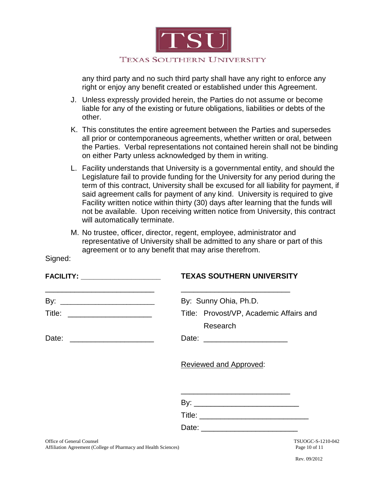

any third party and no such third party shall have any right to enforce any right or enjoy any benefit created or established under this Agreement.

- J. Unless expressly provided herein, the Parties do not assume or become liable for any of the existing or future obligations, liabilities or debts of the other.
- K. This constitutes the entire agreement between the Parties and supersedes all prior or contemporaneous agreements, whether written or oral, between the Parties. Verbal representations not contained herein shall not be binding on either Party unless acknowledged by them in writing.
- L. Facility understands that University is a governmental entity, and should the Legislature fail to provide funding for the University for any period during the term of this contract, University shall be excused for all liability for payment, if said agreement calls for payment of any kind. University is required to give Facility written notice within thirty (30) days after learning that the funds will not be available. Upon receiving written notice from University, this contract will automatically terminate.
- M. No trustee, officer, director, regent, employee, administrator and representative of University shall be admitted to any share or part of this agreement or to any benefit that may arise therefrom.

|                                | <b>TEXAS SOUTHERN UNIVERSITY</b>                                   |
|--------------------------------|--------------------------------------------------------------------|
|                                | By: Sunny Ohia, Ph.D.                                              |
| Title: _______________________ | Title: Provost/VP, Academic Affairs and<br>Research                |
|                                |                                                                    |
|                                | Reviewed and Approved:                                             |
|                                | <u> 1980 - Jan Samuel Barbara, margaret eta idazlea (h. 1980).</u> |
|                                |                                                                    |
|                                |                                                                    |
| Office of General Counsel      | TSUOGC-S-1210-042                                                  |

Affiliation Agreement (College of Pharmacy and Health Sciences) Page 10 of 11

Signed: